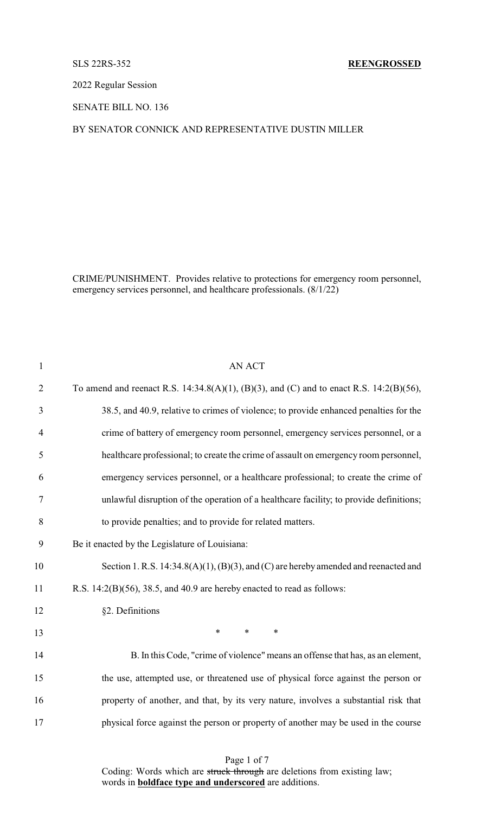## SLS 22RS-352 **REENGROSSED**

2022 Regular Session

SENATE BILL NO. 136

## BY SENATOR CONNICK AND REPRESENTATIVE DUSTIN MILLER

CRIME/PUNISHMENT. Provides relative to protections for emergency room personnel, emergency services personnel, and healthcare professionals.  $(8/1/22)$ 

| $\mathbf{1}$   | <b>AN ACT</b>                                                                               |
|----------------|---------------------------------------------------------------------------------------------|
| $\overline{2}$ | To amend and reenact R.S. 14:34.8(A)(1), (B)(3), and (C) and to enact R.S. 14:2(B)(56),     |
| 3              | 38.5, and 40.9, relative to crimes of violence; to provide enhanced penalties for the       |
| $\overline{4}$ | crime of battery of emergency room personnel, emergency services personnel, or a            |
| 5              | healthcare professional; to create the crime of assault on emergency room personnel,        |
| 6              | emergency services personnel, or a healthcare professional; to create the crime of          |
| 7              | unlawful disruption of the operation of a healthcare facility; to provide definitions;      |
| 8              | to provide penalties; and to provide for related matters.                                   |
| 9              | Be it enacted by the Legislature of Louisiana:                                              |
| 10             | Section 1. R.S. $14:34.8(A)(1)$ , $(B)(3)$ , and $(C)$ are hereby amended and reenacted and |
| 11             | R.S. $14:2(B)(56)$ , $38.5$ , and $40.9$ are hereby enacted to read as follows:             |
| 12             | §2. Definitions                                                                             |
| 13             | $\ast$<br>$\ast$<br>$\ast$                                                                  |
| 14             | B. In this Code, "crime of violence" means an offense that has, as an element,              |
| 15             | the use, attempted use, or threatened use of physical force against the person or           |
| 16             | property of another, and that, by its very nature, involves a substantial risk that         |
| 17             | physical force against the person or property of another may be used in the course          |
|                |                                                                                             |

Page 1 of 7 Coding: Words which are struck through are deletions from existing law; words in **boldface type and underscored** are additions.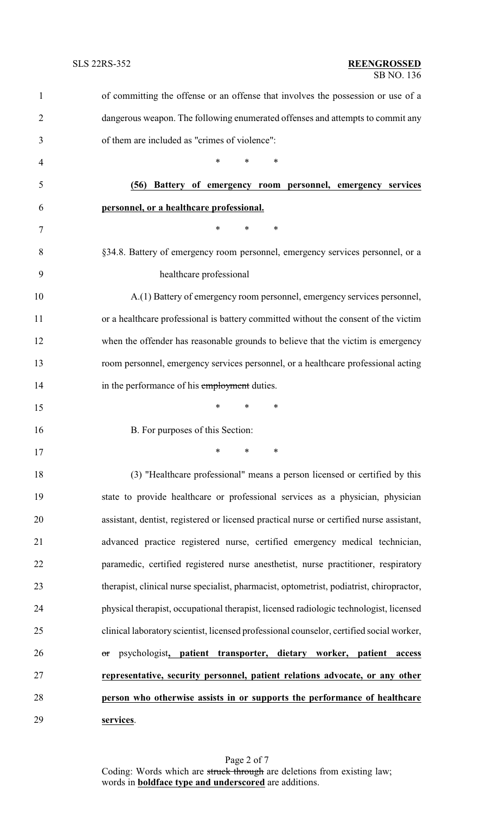| 1              | of committing the offense or an offense that involves the possession or use of a         |
|----------------|------------------------------------------------------------------------------------------|
| $\overline{2}$ | dangerous weapon. The following enumerated offenses and attempts to commit any           |
| 3              | of them are included as "crimes of violence":                                            |
| 4              | *<br>$\ast$<br>∗                                                                         |
| 5              | (56) Battery of emergency room personnel, emergency services                             |
| 6              | personnel, or a healthcare professional.                                                 |
| 7              | *<br>$\ast$<br>∗                                                                         |
| 8              | §34.8. Battery of emergency room personnel, emergency services personnel, or a           |
| 9              | healthcare professional                                                                  |
| 10             | A.(1) Battery of emergency room personnel, emergency services personnel,                 |
| 11             | or a healthcare professional is battery committed without the consent of the victim      |
| 12             | when the offender has reasonable grounds to believe that the victim is emergency         |
| 13             | room personnel, emergency services personnel, or a healthcare professional acting        |
| 14             | in the performance of his employment duties.                                             |
| 15             | $\ast$<br>$\ast$<br>∗                                                                    |
| 16             | B. For purposes of this Section:                                                         |
| 17             |                                                                                          |
| 18             | (3) "Healthcare professional" means a person licensed or certified by this               |
| 19             | state to provide healthcare or professional services as a physician, physician           |
| 20             | assistant, dentist, registered or licensed practical nurse or certified nurse assistant, |
| 21             | advanced practice registered nurse, certified emergency medical technician,              |
| 22             | paramedic, certified registered nurse anesthetist, nurse practitioner, respiratory       |
| 23             | therapist, clinical nurse specialist, pharmacist, optometrist, podiatrist, chiropractor, |
| 24             | physical therapist, occupational therapist, licensed radiologic technologist, licensed   |
| 25             | clinical laboratory scientist, licensed professional counselor, certified social worker, |
| 26             | psychologist, patient transporter, dietary worker, patient<br>access<br>or               |
| 27             | representative, security personnel, patient relations advocate, or any other             |
| 28             | person who otherwise assists in or supports the performance of healthcare                |
| 29             | services.                                                                                |

Page 2 of 7 Coding: Words which are struck through are deletions from existing law; words in **boldface type and underscored** are additions.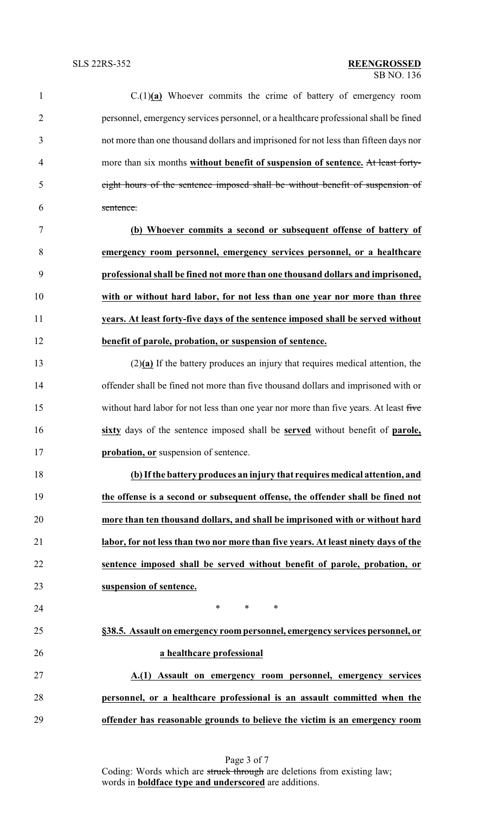| $\mathbf{1}$   | $C(1)(a)$ Whoever commits the crime of battery of emergency room                      |
|----------------|---------------------------------------------------------------------------------------|
| $\overline{2}$ | personnel, emergency services personnel, or a healthcare professional shall be fined  |
| 3              | not more than one thousand dollars and imprisoned for not less than fifteen days nor  |
| $\overline{4}$ | more than six months without benefit of suspension of sentence. At least forty-       |
| 5              | eight hours of the sentence imposed shall be without benefit of suspension of         |
| 6              | sentence.                                                                             |
| $\tau$         | (b) Whoever commits a second or subsequent offense of battery of                      |
| 8              | emergency room personnel, emergency services personnel, or a healthcare               |
| 9              | professional shall be fined not more than one thousand dollars and imprisoned,        |
| 10             | with or without hard labor, for not less than one year nor more than three            |
| 11             | years. At least forty-five days of the sentence imposed shall be served without       |
| 12             | benefit of parole, probation, or suspension of sentence.                              |
| 13             | $(2)(a)$ If the battery produces an injury that requires medical attention, the       |
| 14             | offender shall be fined not more than five thousand dollars and imprisoned with or    |
| 15             | without hard labor for not less than one year nor more than five years. At least five |
| 16             | sixty days of the sentence imposed shall be served without benefit of parole,         |
| 17             | probation, or suspension of sentence.                                                 |
| 18             | (b) If the battery produces an injury that requires medical attention, and            |
| 19             | the offense is a second or subsequent offense, the offender shall be fined not        |
| 20             | more than ten thousand dollars, and shall be imprisoned with or without hard          |
| 21             | labor, for not less than two nor more than five years. At least ninety days of the    |
| 22             | sentence imposed shall be served without benefit of parole, probation, or             |
| 23             | suspension of sentence.                                                               |
| 24             | $\ast$<br>$\ast$<br>∗                                                                 |
| 25             | §38.5. Assault on emergency room personnel, emergency services personnel, or          |
| 26             | a healthcare professional                                                             |
| 27             | A.(1) Assault on emergency room personnel, emergency services                         |
| 28             | personnel, or a healthcare professional is an assault committed when the              |
| 29             | offender has reasonable grounds to believe the victim is an emergency room            |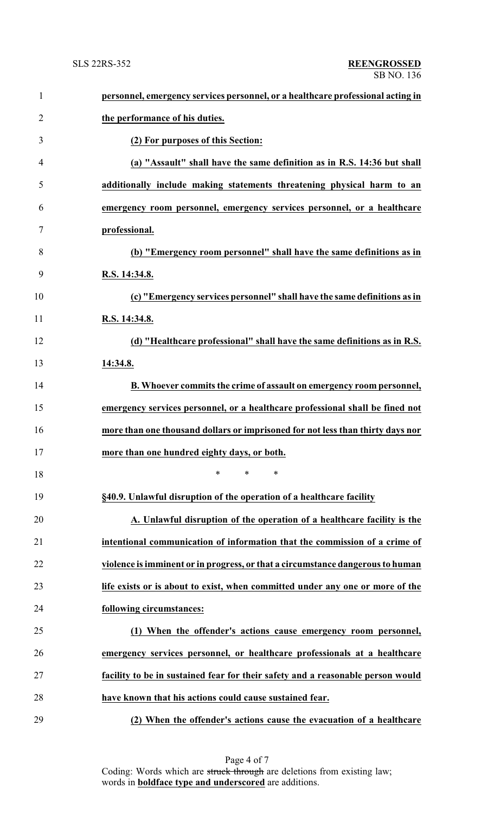| $\mathbf{1}$   | personnel, emergency services personnel, or a healthcare professional acting in |
|----------------|---------------------------------------------------------------------------------|
| $\overline{2}$ | the performance of his duties.                                                  |
| 3              | (2) For purposes of this Section:                                               |
| $\overline{4}$ | (a) "Assault" shall have the same definition as in R.S. 14:36 but shall         |
| 5              | additionally include making statements threatening physical harm to an          |
| 6              | emergency room personnel, emergency services personnel, or a healthcare         |
| 7              | professional.                                                                   |
| 8              | (b) "Emergency room personnel" shall have the same definitions as in            |
| 9              | R.S. 14:34.8.                                                                   |
| 10             | (c) "Emergency services personnel" shall have the same definitions as in        |
| 11             | R.S. 14:34.8.                                                                   |
| 12             | (d) "Healthcare professional" shall have the same definitions as in R.S.        |
| 13             | 14:34.8.                                                                        |
| 14             | B. Whoever commits the crime of assault on emergency room personnel,            |
| 15             | emergency services personnel, or a healthcare professional shall be fined not   |
| 16             | more than one thousand dollars or imprisoned for not less than thirty days nor  |
| 17             | more than one hundred eighty days, or both.                                     |
| 18             | $\ast$<br>$\ast$<br>$\ast$                                                      |
| 19             | §40.9. Unlawful disruption of the operation of a healthcare facility            |
| 20             | A. Unlawful disruption of the operation of a healthcare facility is the         |
| 21             | intentional communication of information that the commission of a crime of      |
| 22             | violence is imminent or in progress, or that a circumstance dangerous to human  |
| 23             | life exists or is about to exist, when committed under any one or more of the   |
| 24             | following circumstances:                                                        |
| 25             | (1) When the offender's actions cause emergency room personnel,                 |
| 26             | emergency services personnel, or healthcare professionals at a healthcare       |
| 27             | facility to be in sustained fear for their safety and a reasonable person would |
| 28             | have known that his actions could cause sustained fear.                         |
| 29             | (2) When the offender's actions cause the evacuation of a healthcare            |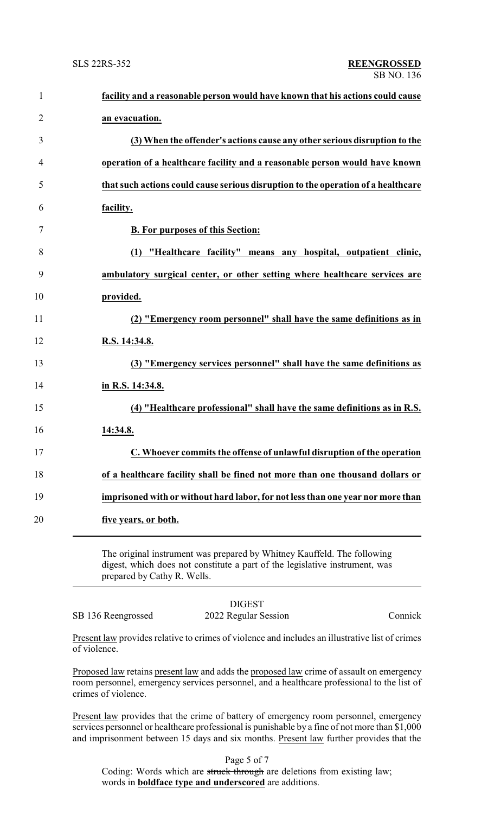| $\mathbf{1}$   | facility and a reasonable person would have known that his actions could cause    |
|----------------|-----------------------------------------------------------------------------------|
| $\overline{2}$ | an evacuation.                                                                    |
| 3              | (3) When the offender's actions cause any other serious disruption to the         |
| 4              | operation of a healthcare facility and a reasonable person would have known       |
| 5              | that such actions could cause serious disruption to the operation of a healthcare |
| 6              | facility.                                                                         |
| 7              | <b>B. For purposes of this Section:</b>                                           |
| 8              | (1) "Healthcare facility" means any hospital, outpatient clinic,                  |
| 9              | ambulatory surgical center, or other setting where healthcare services are        |
| 10             | provided.                                                                         |
| 11             | (2) "Emergency room personnel" shall have the same definitions as in              |
| 12             | R.S. 14:34.8.                                                                     |
| 13             | (3) "Emergency services personnel" shall have the same definitions as             |
| 14             | in R.S. 14:34.8.                                                                  |
| 15             | (4) "Healthcare professional" shall have the same definitions as in R.S.          |
| 16             | 14:34.8.                                                                          |
| 17             | C. Whoever commits the offense of unlawful disruption of the operation            |
| 18             | of a healthcare facility shall be fined not more than one thousand dollars or     |
| 19             | imprisoned with or without hard labor, for not less than one year nor more than   |
| 20             | five years, or both.                                                              |
|                |                                                                                   |

The original instrument was prepared by Whitney Kauffeld. The following digest, which does not constitute a part of the legislative instrument, was prepared by Cathy R. Wells.

## DIGEST

SB 136 Reengrossed 2022 Regular Session Connick

Present law provides relative to crimes of violence and includes an illustrative list of crimes of violence.

Proposed law retains present law and adds the proposed law crime of assault on emergency room personnel, emergency services personnel, and a healthcare professional to the list of crimes of violence.

Present law provides that the crime of battery of emergency room personnel, emergency services personnel or healthcare professional is punishable by a fine of not more than \$1,000 and imprisonment between 15 days and six months. Present law further provides that the

Page 5 of 7 Coding: Words which are struck through are deletions from existing law; words in **boldface type and underscored** are additions.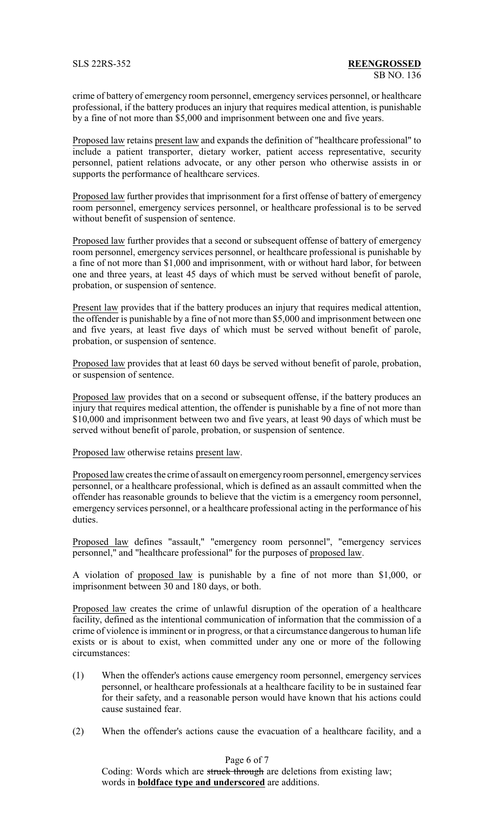crime of battery of emergency room personnel, emergency services personnel, or healthcare professional, if the battery produces an injury that requires medical attention, is punishable by a fine of not more than \$5,000 and imprisonment between one and five years.

Proposed law retains present law and expands the definition of "healthcare professional" to include a patient transporter, dietary worker, patient access representative, security personnel, patient relations advocate, or any other person who otherwise assists in or supports the performance of healthcare services.

Proposed law further provides that imprisonment for a first offense of battery of emergency room personnel, emergency services personnel, or healthcare professional is to be served without benefit of suspension of sentence.

Proposed law further provides that a second or subsequent offense of battery of emergency room personnel, emergency services personnel, or healthcare professional is punishable by a fine of not more than \$1,000 and imprisonment, with or without hard labor, for between one and three years, at least 45 days of which must be served without benefit of parole, probation, or suspension of sentence.

Present law provides that if the battery produces an injury that requires medical attention, the offender is punishable by a fine of not more than \$5,000 and imprisonment between one and five years, at least five days of which must be served without benefit of parole, probation, or suspension of sentence.

Proposed law provides that at least 60 days be served without benefit of parole, probation, or suspension of sentence.

Proposed law provides that on a second or subsequent offense, if the battery produces an injury that requires medical attention, the offender is punishable by a fine of not more than \$10,000 and imprisonment between two and five years, at least 90 days of which must be served without benefit of parole, probation, or suspension of sentence.

Proposed law otherwise retains present law.

Proposed law creates the crime of assault on emergencyroom personnel, emergencyservices personnel, or a healthcare professional, which is defined as an assault committed when the offender has reasonable grounds to believe that the victim is a emergency room personnel, emergency services personnel, or a healthcare professional acting in the performance of his duties.

Proposed law defines "assault," "emergency room personnel", "emergency services personnel," and "healthcare professional" for the purposes of proposed law.

A violation of proposed law is punishable by a fine of not more than \$1,000, or imprisonment between 30 and 180 days, or both.

Proposed law creates the crime of unlawful disruption of the operation of a healthcare facility, defined as the intentional communication of information that the commission of a crime of violence is imminent or in progress, or that a circumstance dangerous to human life exists or is about to exist, when committed under any one or more of the following circumstances:

- (1) When the offender's actions cause emergency room personnel, emergency services personnel, or healthcare professionals at a healthcare facility to be in sustained fear for their safety, and a reasonable person would have known that his actions could cause sustained fear.
- (2) When the offender's actions cause the evacuation of a healthcare facility, and a

Page 6 of 7

Coding: Words which are struck through are deletions from existing law; words in **boldface type and underscored** are additions.